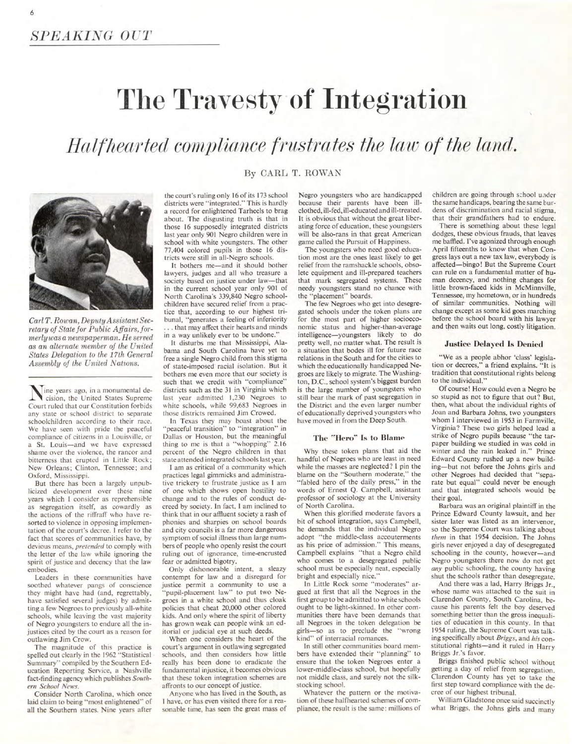# **The Travesty of Integration**

## *Halfhearted compliance frustrates the law of the land.*

### By CARL T. ROWAN



*Carl T. Rowan, Deputy Assistant Secretary of State for Public Affairs, formerly was a newspaperman. He served as an alternate member of the United States Delegation to the 17th General Assembly of the United Nations.* 

inc years ago, in a monumental decision, the United States Supreme Court ruled that our Constitution forbids any state or school district to separate schoolchildren according to their race. We have seen with pride the peaceful compliance of citizens in a Louisville, or a St. Louis—and we have expressed shame over the violence, the rancor and bitterness that erupted in Little Rock; New Orleans; Clinton, Tennessee; and Oxford, Mississippi.

But there has been a largely unpublicized development over these nine years which I consider as reprehensible as segregation itself, as cowardly as the actions of the riffraff who have resorted to violence in opposing implementation of the court's decree. I refer to the fact that scores of communities have, by devious means, pretended to comply with the letter of the law while ignoring the spirit of justice and decency that the law embodies.

Leaders in these communities have soothed whatever pangs of conscience they might have had (and, regrettably, have satisfied several judges) by admitting a few Negroes to previously all-white schools, while leaving the vast majority of Negro youngsters to endure all the injustices cited by the court as a reason for outlawing Jim Crow.

The magnitude of this practice is spelled out clearly in the 1962 "Statistical Summary" compiled by the Southern Education Reporting Service, a Nashville fact-finding agency which publishes Southern School News.

Consider North Carolina, which once laid claim to being "most enlightened" of all the Southern states. Nine years after the court's ruling only 16 of its 173 school districts were "integrated." This is hardly a record for enlightened Tarheels to brag about. The disgusting truth is that in those 16 supposedly integrated districts last year only 901 Negro children were in school with white youngsters. The other 77,404 colored pupils in those 16 districts were still in all-Negro schools.

It bothers me—and it should bother lawyers, judges and all who treasure a society based on justice under law—that in the current school year only 901 of North Carolina's 339,840 Negro schoolchildren have secured relief from a practice that, according to our highest tribunal, "generates a feeling of inferiority . that may affect their hearts and minds in a way unlikely ever to be undone.'

It disturbs me that Mississippi, Alabama and South Carolina have yet to free a single Negro child from this stigma of state-imposed racial isolation. But it bothers me even more that our society is such that we credit with "compliance" districts such as the 31 in Virginia which last year admitted 1,230 Negroes to white schools, while 99,683 Negroes in those districts remained Jim Crowed.

In Texas they may boast about the 'peaceful transition" to "integration" in Dallas or Houston, but the meaningful thing to me is that a "whopping" 2.16 percent of the Negro children in that state attended integrated schools last year.

I am as critical of a community which practices legal gimmicks and administrative trickery to frustrate justice as I am of one which shows open hostility to change and to the rules of conduct decreed by society. In fact, I am inclined to think that in our affluent society a rash of phonies and sharpies on school boards and city councils is a far more dangerous symptom of social illness than large numbers of people who openly resist the court ruling out of ignorance, time-encrusted fear or admitted bigotry.

Only dishonorable intent, a sleazy contempt for law and a disregard for justice permit a community to use a "pupil-placement law" to put two Negroes in a white school and thus cloak policies that cheat 20,000 other colored kids. And only where the spirit of liberty has grown weak can people wink an editorial or judicial eye at such deeds.

When one considers the heart of the court's argument in outlawing segregated schools, and then considers how little really has been done to eradicate the fundamental injustice, it becomes obvious that these token integration schemes are affronts to our concept of justice.

Anyone who has lived in the South, as I have, or has even visited there for a reasonable time, has seen the great mass of Negro youngsters who are handicapped because their parents have been illclothed, ill-fed, ill-educated and ill-treated. It is obvious that without the great liberating force of education, these youngsters will be also-rans in that great American game called the Pursuit of Happiness.

The youngsters who need good education most are the ones least likely to get relief from the ramshackle schools, obsolete equipment and ill-prepared teachers that mark segregated systems. These needy youngsters stand no chance with the "placement" boards.

The few Negroes who get into desegregated schools under the token plans are for the most part of higher socioeconomic status and higher-than-average intelligence—youngsters likely to do pretty well, no matter what. The result is a situation that bodes ill for future race relations in the South and for the cities to which the educationally handicapped Negroes are likely to migrate. The Washington, D.C.. school system's biggest burden is the large number of youngsters who still bear the mark of past segregation in the District and the even larger number of educationally deprived youngsters who have moved in from the Deep South.

### **The "Hero" Is to Blame**

Why these token plans that aid the handful of Negroes who are least in need while the masses are neglected? I pin the blame on the "Southern moderate," the "fabled hero of the daily press," in the words of Ernest Q. Campbell, assistant professor of sociology at the University of North Carolina.

When this glorified moderate favors a bit of school integration, says Campbell, he demands that the individual Negro adopt "the middle-class accouterments as his price of admission." This means, Campbell explains "that a Negro child who comes to a desegregated public school must be especially neat, especially bright and especially nice.'

In Little Rock some "moderates" argued at first that all the Negroes in the first group to be admitted to white schools ought to be light-skinned. In other communities there have been demands that all Negroes in the token delegation be girls—so as to preclude the "wrong" girls-so as to preclude the kind" of interracial romances.

In still other communities board members have extended their "planning" to ensure that the token Negroes enter a lower-middle-class school, but hopefully not middle class, and surely not the silkstocking school.

Whatever the pattern or the motivation of these halfhearted schemes of compliance, the result is the same: millions of children are going through school under the same handicaps, bearing the same burdens of discrimination and racial stigma, that their grandfathers had to endure.

There is something about these legal dodges, these obvious frauds, that leaves me baffled. I've agonized through enough April fifteenths to know that when Congress lays out a new tax law, everybody is affected—bingo! But the Supreme Court can rule on a fundamental matter of human decency, and nothing changes for little brown-faced kids in McMinnville, Tennessee, my hometown, or in hundreds of similar communities. Nothing will change except as some kid goes marching before the school board with his lawyer and then waits out long, costly litigation.

### **Justice Delayed Is Denied**

"We as a people abhor 'class' legislation or decrees," a friend explains. "It is tradition that constitutional rights belong to the individual."

Of course! How could even a Negro be so stupid as not to figure that out? But, then, what about the individual rights of Joan and Barbara Johns, two youngsters whom I interviewed in 1953 in Farmville, Virginia? These two girls helped lead a strike of Negro pupils because "the tarpaper building we studied in was cold in winter and the rain leaked in." Prince Edward County rushed up a new building—but not before the Johns girls and other Negroes had decided that "separate but equal" could never be enough and that integrated schools would be their goal.

Barbara was an original plaintiff in the Prince Edward County lawsuit, and her sister later was listed as an intervenor, so the Supreme Court was talking about them in that 1954 decision. The Johns girls never enjoyed a day of desegregated schooling in the county, however—and Negro youngsters there now do not get any public schooling, the county having shut the schools rather than desegregate.

And there was a lad, Harry Briggs Jr., whose name was attached to the suit in Clarendon County, South Carolina, because his parents felt the boy deserved something better than the gross inequalities of education in this county. In that 1954 ruling, the Supreme Court was talking specifically about Briggs, and his constitutional rights—and it ruled in Harry Briggs Jr.'s favor.

Briggs finished public school without getting a day of relief from segregation. Clarendon County has yet to take the first step toward compliance with the decree of our highest tribunal.

William Gladstone once said succinctly what Briggs, the Johns girls and many